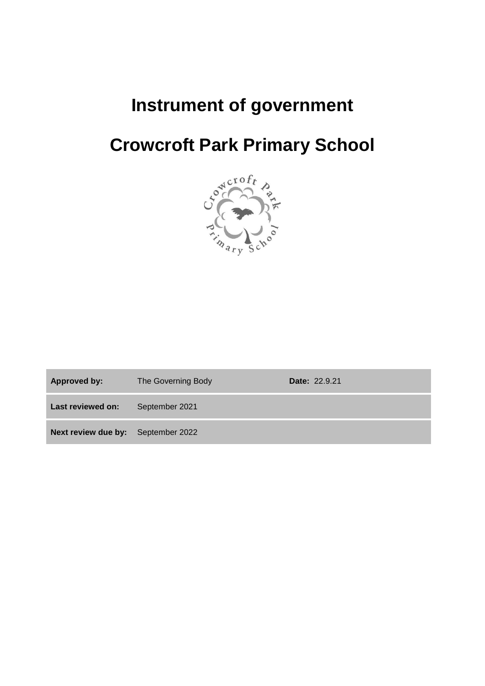## **Instrument of government**

# **Crowcroft Park Primary School**



| Approved by:                       | The Governing Body | <b>Date: 22.9.21</b> |
|------------------------------------|--------------------|----------------------|
| Last reviewed on:                  | September 2021     |                      |
| Next review due by: September 2022 |                    |                      |